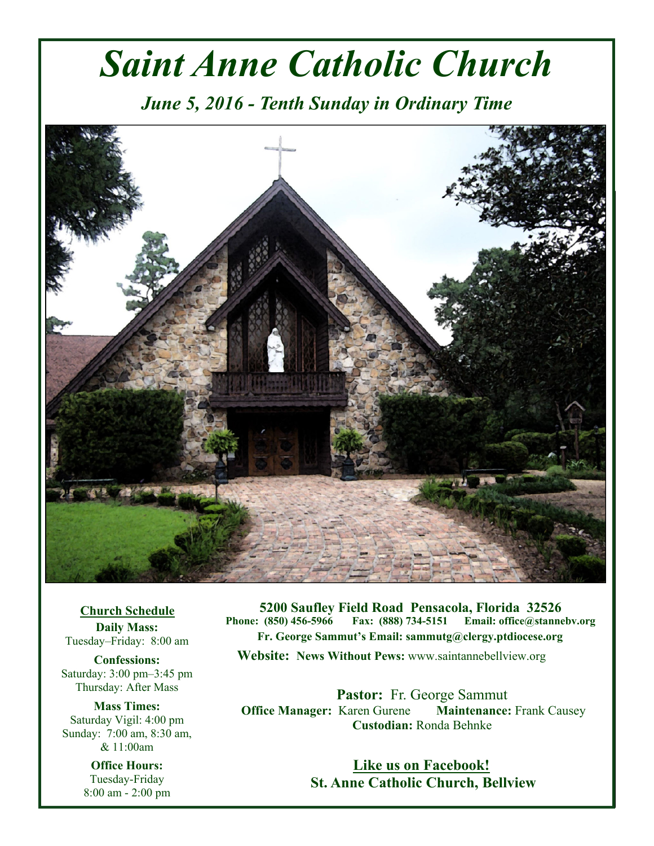# *Saint Anne Catholic Church*

*June 5, 2016 - Tenth Sunday in Ordinary Time* 



**Church Schedule Daily Mass:**  Tuesday–Friday: 8:00 am

**Confessions:**  Saturday: 3:00 pm–3:45 pm Thursday: After Mass

**Mass Times:**  Saturday Vigil: 4:00 pm Sunday: 7:00 am, 8:30 am, & 11:00am

> **Office Hours:**  Tuesday-Friday 8:00 am - 2:00 pm

**5200 Saufley Field Road Pensacola, Florida 32526 Phone: (850) 456-5966 Fax: (888) 734-5151 Email: office@stannebv.org Fr. George Sammut's Email: sammutg@clergy.ptdiocese.org Website: News Without Pews:** www.saintannebellview.org

**Pastor:** Fr. George Sammut **Office Manager: Karen Gurene Maintenance: Frank Causey Custodian:** Ronda Behnke

> **Like us on Facebook! St. Anne Catholic Church, Bellview**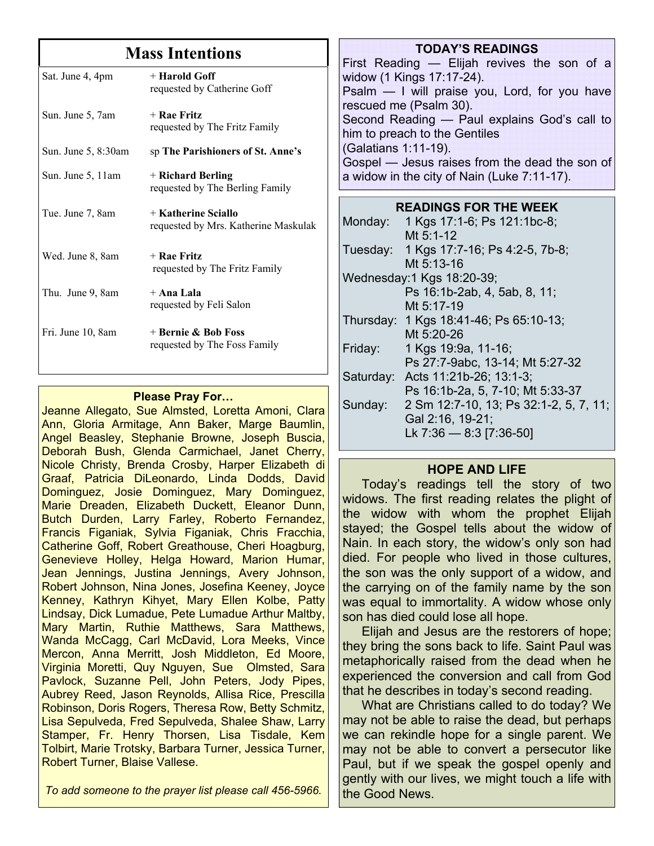### **Mass Intentions**

| + Harold Goff<br>requested by Catherine Goff                |
|-------------------------------------------------------------|
| + Rae Fritz<br>requested by The Fritz Family                |
| sp The Parishioners of St. Anne's                           |
| + Richard Berling<br>requested by The Berling Family        |
| + Katherine Sciallo<br>requested by Mrs. Katherine Maskulak |
| $+$ Rae Fritz<br>requested by The Fritz Family              |
| + Ana Lala<br>requested by Feli Salon                       |
| + Bernie & Bob Foss<br>requested by The Foss Family         |
|                                                             |

#### **Please Pray For…**

Jeanne Allegato, Sue Almsted, Loretta Amoni, Clara Ann, Gloria Armitage, Ann Baker, Marge Baumlin, Angel Beasley, Stephanie Browne, Joseph Buscia, Deborah Bush, Glenda Carmichael, Janet Cherry, Nicole Christy, Brenda Crosby, Harper Elizabeth di Graaf, Patricia DiLeonardo, Linda Dodds, David Dominguez, Josie Dominguez, Mary Dominguez, Marie Dreaden, Elizabeth Duckett, Eleanor Dunn, Butch Durden, Larry Farley, Roberto Fernandez, Francis Figaniak, Sylvia Figaniak, Chris Fracchia, Catherine Goff, Robert Greathouse, Cheri Hoagburg, Genevieve Holley, Helga Howard, Marion Humar, Jean Jennings, Justina Jennings, Avery Johnson, Robert Johnson, Nina Jones, Josefina Keeney, Joyce Kenney, Kathryn Kihyet, Mary Ellen Kolbe, Patty Lindsay, Dick Lumadue, Pete Lumadue Arthur Maltby, Mary Martin, Ruthie Matthews, Sara Matthews, Wanda McCagg, Carl McDavid, Lora Meeks, Vince Mercon, Anna Merritt, Josh Middleton, Ed Moore, Virginia Moretti, Quy Nguyen, Sue Olmsted, Sara Pavlock, Suzanne Pell, John Peters, Jody Pipes, Aubrey Reed, Jason Reynolds, Allisa Rice, Prescilla Robinson, Doris Rogers, Theresa Row, Betty Schmitz, Lisa Sepulveda, Fred Sepulveda, Shalee Shaw, Larry Stamper, Fr. Henry Thorsen, Lisa Tisdale, Kem Tolbirt, Marie Trotsky, Barbara Turner, Jessica Turner, Robert Turner, Blaise Vallese.

**TODAY'S READINGS** First Reading — Elijah revives the son of a widow (1 Kings 17:17-24). Psalm — I will praise you, Lord, for you have rescued me (Psalm 30). Second Reading — Paul explains God's call to him to preach to the Gentiles (Galatians 1:11-19). Gospel — Jesus raises from the dead the son of a widow in the city of Nain (Luke 7:11-17).

| <b>READINGS FOR THE WEEK</b> |                                         |  |  |
|------------------------------|-----------------------------------------|--|--|
|                              | Monday: 1 Kgs 17:1-6; Ps 121:1bc-8;     |  |  |
|                              | Mt $5:1-12$                             |  |  |
|                              | Tuesday: 1 Kgs 17:7-16; Ps 4:2-5, 7b-8; |  |  |
|                              | Mt 5:13-16                              |  |  |
| Wednesday: 1 Kgs 18:20-39;   |                                         |  |  |
|                              | Ps 16:1b-2ab, 4, 5ab, 8, 11;            |  |  |
|                              | Mt 5:17-19                              |  |  |
|                              | Thursday: 1 Kgs 18:41-46; Ps 65:10-13;  |  |  |
|                              | Mt 5:20-26                              |  |  |
| Friday:                      | 1 Kgs 19:9a, 11-16;                     |  |  |
|                              | Ps 27:7-9abc, 13-14; Mt 5:27-32         |  |  |
| Saturday:                    | Acts 11:21b-26; 13:1-3;                 |  |  |
|                              | Ps 16:1b-2a, 5, 7-10; Mt 5:33-37        |  |  |
| Sunday:                      | 2 Sm 12:7-10, 13; Ps 32:1-2, 5, 7, 11;  |  |  |
|                              | Gal 2:16, 19-21;                        |  |  |
|                              | Lk 7:36 - 8:3 [7:36-50]                 |  |  |

#### **HOPE AND LIFE**

 Today's readings tell the story of two widows. The first reading relates the plight of the widow with whom the prophet Elijah stayed; the Gospel tells about the widow of Nain. In each story, the widow's only son had died. For people who lived in those cultures, the son was the only support of a widow, and the carrying on of the family name by the son was equal to immortality. A widow whose only son has died could lose all hope.

 Elijah and Jesus are the restorers of hope; they bring the sons back to life. Saint Paul was metaphorically raised from the dead when he experienced the conversion and call from God that he describes in today's second reading.

 What are Christians called to do today? We may not be able to raise the dead, but perhaps we can rekindle hope for a single parent. We may not be able to convert a persecutor like Paul, but if we speak the gospel openly and gently with our lives, we might touch a life with the Good News.

*To add someone to the prayer list please call 456-5966.*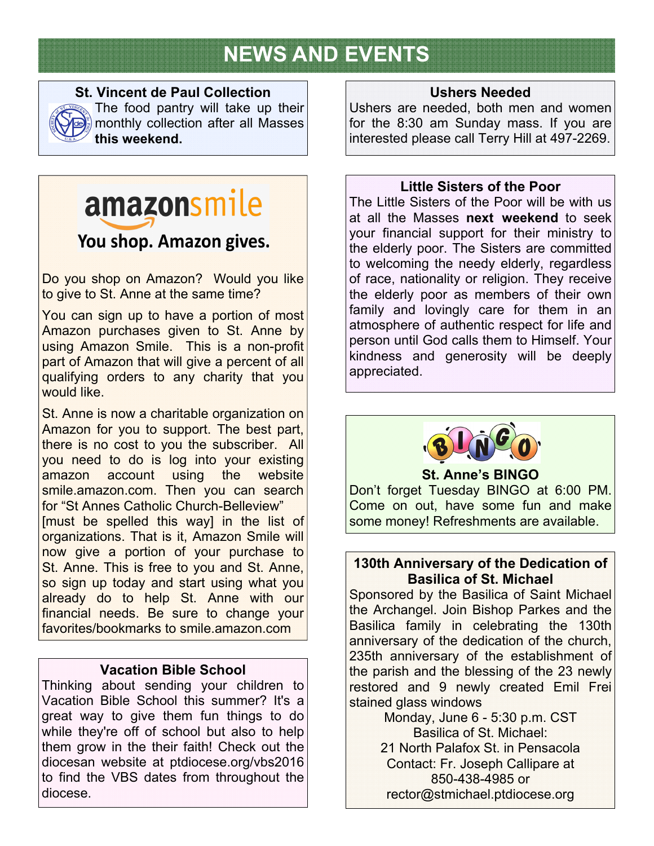# **NEWS AND EVENTS**



#### **St. Vincent de Paul Collection**

The food pantry will take up their monthly collection after all Masses **this weekend.**

# amazonsmile

## You shop. Amazon gives.

Do you shop on Amazon? Would you like to give to St. Anne at the same time?

You can sign up to have a portion of most Amazon purchases given to St. Anne by using Amazon Smile. This is a non-profit part of Amazon that will give a percent of all qualifying orders to any charity that you would like.

St. Anne is now a charitable organization on Amazon for you to support. The best part, there is no cost to you the subscriber. All you need to do is log into your existing amazon account using the website smile.amazon.com. Then you can search for "St Annes Catholic Church-Belleview" [must be spelled this way] in the list of organizations. That is it, Amazon Smile will now give a portion of your purchase to St. Anne. This is free to you and St. Anne, so sign up today and start using what you already do to help St. Anne with our financial needs. Be sure to change your favorites/bookmarks to smile.amazon.com

#### **Vacation Bible School**

Thinking about sending your children to Vacation Bible School this summer? It's a great way to give them fun things to do while they're off of school but also to help them grow in the their faith! Check out the diocesan website at ptdiocese.org/vbs2016 to find the VBS dates from throughout the diocese.

#### **Ushers Needed**

Ushers are needed, both men and women for the 8:30 am Sunday mass. If you are interested please call Terry Hill at 497-2269.

#### **Little Sisters of the Poor**

The Little Sisters of the Poor will be with us at all the Masses **next weekend** to seek your financial support for their ministry to the elderly poor. The Sisters are committed to welcoming the needy elderly, regardless of race, nationality or religion. They receive the elderly poor as members of their own family and lovingly care for them in an atmosphere of authentic respect for life and person until God calls them to Himself. Your kindness and generosity will be deeply appreciated.



#### **St. Anne's BINGO**

Don't forget Tuesday BINGO at 6:00 PM. Come on out, have some fun and make some money! Refreshments are available.

#### **130th Anniversary of the Dedication of Basilica of St. Michael**

Sponsored by the Basilica of Saint Michael the Archangel. Join Bishop Parkes and the Basilica family in celebrating the 130th anniversary of the dedication of the church, 235th anniversary of the establishment of the parish and the blessing of the 23 newly restored and 9 newly created Emil Frei stained glass windows

Monday, June 6 - 5:30 p.m. CST Basilica of St. Michael: 21 North Palafox St. in Pensacola Contact: Fr. Joseph Callipare at 850-438-4985 or rector@stmichael.ptdiocese.org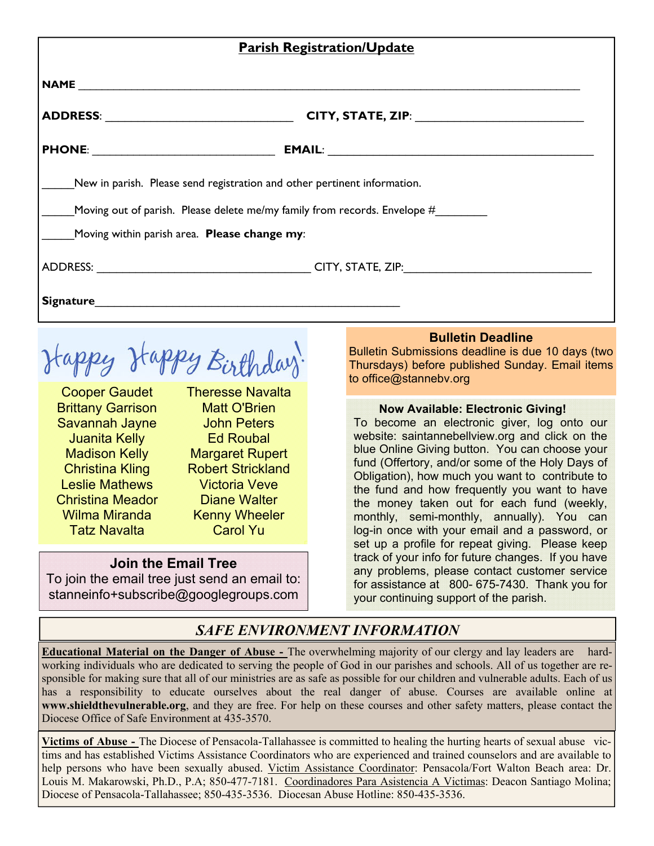| <b>Parish Registration/Update</b>                   |                                                                           |  |  |
|-----------------------------------------------------|---------------------------------------------------------------------------|--|--|
|                                                     |                                                                           |  |  |
|                                                     |                                                                           |  |  |
| PHONE: __________________________________           |                                                                           |  |  |
|                                                     | New in parish. Please send registration and other pertinent information.  |  |  |
|                                                     | Moving out of parish. Please delete me/my family from records. Envelope # |  |  |
| Moving within parish area. <b>Please change my:</b> |                                                                           |  |  |
|                                                     |                                                                           |  |  |
| Signature                                           |                                                                           |  |  |

tappy Happy Birthday

Cooper Gaudet Brittany Garrison Savannah Jayne Juanita Kelly Madison Kelly Christina Kling Leslie Mathews Christina Meador Wilma Miranda Tatz Navalta

Theresse Navalta Matt O'Brien John Peters Ed Roubal Margaret Rupert Robert Strickland Victoria Veve Diane Walter Kenny Wheeler Carol Yu

#### **Join the Email Tree**

To join the email tree just send an email to: stanneinfo+subscribe@googlegroups.com

#### **Bulletin Deadline**

Bulletin Submissions deadline is due 10 days (two Thursdays) before published Sunday. Email items to office@stannebv.org

#### **Now Available: Electronic Giving!**

To become an electronic giver, log onto our website: saintannebellview.org and click on the blue Online Giving button. You can choose your fund (Offertory, and/or some of the Holy Days of Obligation), how much you want to contribute to the fund and how frequently you want to have the money taken out for each fund (weekly, monthly, semi-monthly, annually). You can log-in once with your email and a password, or set up a profile for repeat giving. Please keep track of your info for future changes. If you have any problems, please contact customer service for assistance at 800- 675-7430. Thank you for your continuing support of the parish.

### *SAFE ENVIRONMENT INFORMATION*

**Educational Material on the Danger of Abuse -** The overwhelming majority of our clergy and lay leaders are hardworking individuals who are dedicated to serving the people of God in our parishes and schools. All of us together are responsible for making sure that all of our ministries are as safe as possible for our children and vulnerable adults. Each of us has a responsibility to educate ourselves about the real danger of abuse. Courses are available online at **www.shieldthevulnerable.org**, and they are free. For help on these courses and other safety matters, please contact the Diocese Office of Safe Environment at 435-3570.

**Victims of Abuse -** The Diocese of Pensacola-Tallahassee is committed to healing the hurting hearts of sexual abuse victims and has established Victims Assistance Coordinators who are experienced and trained counselors and are available to help persons who have been sexually abused. Victim Assistance Coordinator: Pensacola/Fort Walton Beach area: Dr. Louis M. Makarowski, Ph.D., P.A; 850-477-7181. Coordinadores Para Asistencia A Victimas: Deacon Santiago Molina; Diocese of Pensacola-Tallahassee; 850-435-3536. Diocesan Abuse Hotline: 850-435-3536.